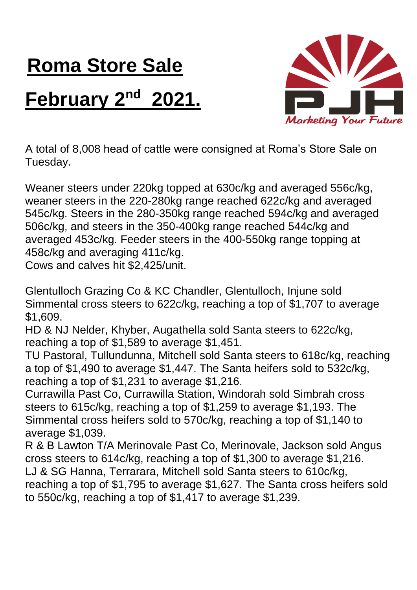## **Roma Store Sale February 2nd 2021.**



A total of 8,008 head of cattle were consigned at Roma's Store Sale on Tuesday.

Weaner steers under 220kg topped at 630c/kg and averaged 556c/kg, weaner steers in the 220-280kg range reached 622c/kg and averaged 545c/kg. Steers in the 280-350kg range reached 594c/kg and averaged 506c/kg, and steers in the 350-400kg range reached 544c/kg and averaged 453c/kg. Feeder steers in the 400-550kg range topping at 458c/kg and averaging 411c/kg.

Cows and calves hit \$2,425/unit.

Glentulloch Grazing Co & KC Chandler, Glentulloch, Injune sold Simmental cross steers to 622c/kg, reaching a top of \$1,707 to average \$1,609.

HD & NJ Nelder, Khyber, Augathella sold Santa steers to 622c/kg, reaching a top of \$1,589 to average \$1,451.

TU Pastoral, Tullundunna, Mitchell sold Santa steers to 618c/kg, reaching a top of \$1,490 to average \$1,447. The Santa heifers sold to 532c/kg, reaching a top of \$1,231 to average \$1,216.

Currawilla Past Co, Currawilla Station, Windorah sold Simbrah cross steers to 615c/kg, reaching a top of \$1,259 to average \$1,193. The Simmental cross heifers sold to 570c/kg, reaching a top of \$1,140 to average \$1,039.

R & B Lawton T/A Merinovale Past Co, Merinovale, Jackson sold Angus cross steers to 614c/kg, reaching a top of \$1,300 to average \$1,216. LJ & SG Hanna, Terrarara, Mitchell sold Santa steers to 610c/kg, reaching a top of \$1,795 to average \$1,627. The Santa cross heifers sold to 550c/kg, reaching a top of \$1,417 to average \$1,239.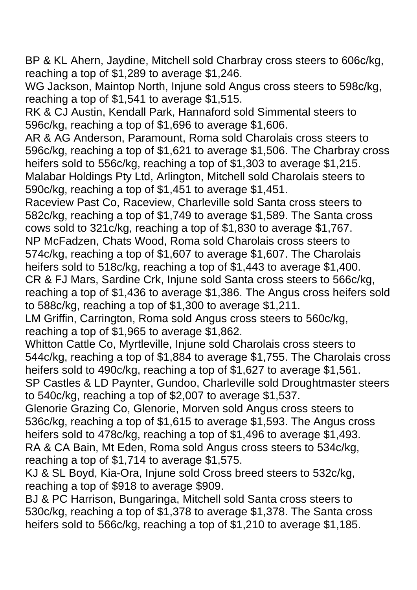BP & KL Ahern, Jaydine, Mitchell sold Charbray cross steers to 606c/kg, reaching a top of \$1,289 to average \$1,246.

WG Jackson, Maintop North, Injune sold Angus cross steers to 598c/kg, reaching a top of \$1,541 to average \$1,515.

RK & CJ Austin, Kendall Park, Hannaford sold Simmental steers to 596c/kg, reaching a top of \$1,696 to average \$1,606.

AR & AG Anderson, Paramount, Roma sold Charolais cross steers to 596c/kg, reaching a top of \$1,621 to average \$1,506. The Charbray cross heifers sold to 556c/kg, reaching a top of \$1,303 to average \$1,215. Malabar Holdings Pty Ltd, Arlington, Mitchell sold Charolais steers to 590c/kg, reaching a top of \$1,451 to average \$1,451.

Raceview Past Co, Raceview, Charleville sold Santa cross steers to 582c/kg, reaching a top of \$1,749 to average \$1,589. The Santa cross cows sold to 321c/kg, reaching a top of \$1,830 to average \$1,767. NP McFadzen, Chats Wood, Roma sold Charolais cross steers to 574c/kg, reaching a top of \$1,607 to average \$1,607. The Charolais heifers sold to 518c/kg, reaching a top of \$1,443 to average \$1,400. CR & FJ Mars, Sardine Crk, Injune sold Santa cross steers to 566c/kg, reaching a top of \$1,436 to average \$1,386. The Angus cross heifers sold to 588c/kg, reaching a top of \$1,300 to average \$1,211.

LM Griffin, Carrington, Roma sold Angus cross steers to 560c/kg, reaching a top of \$1,965 to average \$1,862.

Whitton Cattle Co, Myrtleville, Injune sold Charolais cross steers to 544c/kg, reaching a top of \$1,884 to average \$1,755. The Charolais cross heifers sold to 490c/kg, reaching a top of \$1,627 to average \$1,561. SP Castles & LD Paynter, Gundoo, Charleville sold Droughtmaster steers

to 540c/kg, reaching a top of \$2,007 to average \$1,537.

Glenorie Grazing Co, Glenorie, Morven sold Angus cross steers to 536c/kg, reaching a top of \$1,615 to average \$1,593. The Angus cross heifers sold to 478c/kg, reaching a top of \$1,496 to average \$1,493. RA & CA Bain, Mt Eden, Roma sold Angus cross steers to 534c/kg, reaching a top of \$1,714 to average \$1,575.

KJ & SL Boyd, Kia-Ora, Injune sold Cross breed steers to 532c/kg, reaching a top of \$918 to average \$909.

BJ & PC Harrison, Bungaringa, Mitchell sold Santa cross steers to 530c/kg, reaching a top of \$1,378 to average \$1,378. The Santa cross heifers sold to 566c/kg, reaching a top of \$1,210 to average \$1,185.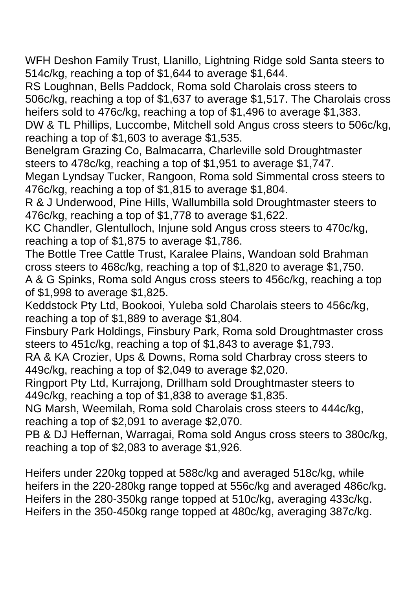WFH Deshon Family Trust, Llanillo, Lightning Ridge sold Santa steers to 514c/kg, reaching a top of \$1,644 to average \$1,644.

RS Loughnan, Bells Paddock, Roma sold Charolais cross steers to 506c/kg, reaching a top of \$1,637 to average \$1,517. The Charolais cross heifers sold to 476c/kg, reaching a top of \$1,496 to average \$1,383.

DW & TL Phillips, Luccombe, Mitchell sold Angus cross steers to 506c/kg, reaching a top of \$1,603 to average \$1,535.

Benelgram Grazing Co, Balmacarra, Charleville sold Droughtmaster steers to 478c/kg, reaching a top of \$1,951 to average \$1,747.

Megan Lyndsay Tucker, Rangoon, Roma sold Simmental cross steers to 476c/kg, reaching a top of \$1,815 to average \$1,804.

R & J Underwood, Pine Hills, Wallumbilla sold Droughtmaster steers to 476c/kg, reaching a top of \$1,778 to average \$1,622.

KC Chandler, Glentulloch, Injune sold Angus cross steers to 470c/kg, reaching a top of \$1,875 to average \$1,786.

The Bottle Tree Cattle Trust, Karalee Plains, Wandoan sold Brahman cross steers to 468c/kg, reaching a top of \$1,820 to average \$1,750.

A & G Spinks, Roma sold Angus cross steers to 456c/kg, reaching a top of \$1,998 to average \$1,825.

Keddstock Pty Ltd, Bookooi, Yuleba sold Charolais steers to 456c/kg, reaching a top of \$1,889 to average \$1,804.

Finsbury Park Holdings, Finsbury Park, Roma sold Droughtmaster cross steers to 451c/kg, reaching a top of \$1,843 to average \$1,793.

RA & KA Crozier, Ups & Downs, Roma sold Charbray cross steers to 449c/kg, reaching a top of \$2,049 to average \$2,020.

Ringport Pty Ltd, Kurrajong, Drillham sold Droughtmaster steers to 449c/kg, reaching a top of \$1,838 to average \$1,835.

NG Marsh, Weemilah, Roma sold Charolais cross steers to 444c/kg, reaching a top of \$2,091 to average \$2,070.

PB & DJ Heffernan, Warragai, Roma sold Angus cross steers to 380c/kg, reaching a top of \$2,083 to average \$1,926.

Heifers under 220kg topped at 588c/kg and averaged 518c/kg, while heifers in the 220-280kg range topped at 556c/kg and averaged 486c/kg. Heifers in the 280-350kg range topped at 510c/kg, averaging 433c/kg. Heifers in the 350-450kg range topped at 480c/kg, averaging 387c/kg.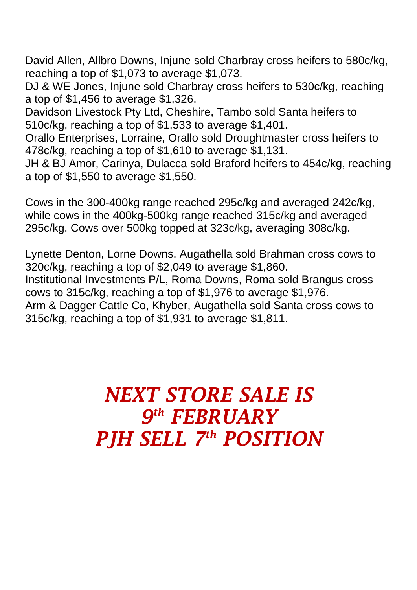David Allen, Allbro Downs, Injune sold Charbray cross heifers to 580c/kg, reaching a top of \$1,073 to average \$1,073.

DJ & WE Jones, Injune sold Charbray cross heifers to 530c/kg, reaching a top of \$1,456 to average \$1,326.

Davidson Livestock Pty Ltd, Cheshire, Tambo sold Santa heifers to 510c/kg, reaching a top of \$1,533 to average \$1,401.

Orallo Enterprises, Lorraine, Orallo sold Droughtmaster cross heifers to 478c/kg, reaching a top of \$1,610 to average \$1,131.

JH & BJ Amor, Carinya, Dulacca sold Braford heifers to 454c/kg, reaching a top of \$1,550 to average \$1,550.

Cows in the 300-400kg range reached 295c/kg and averaged 242c/kg, while cows in the 400kg-500kg range reached 315c/kg and averaged 295c/kg. Cows over 500kg topped at 323c/kg, averaging 308c/kg.

Lynette Denton, Lorne Downs, Augathella sold Brahman cross cows to 320c/kg, reaching a top of \$2,049 to average \$1,860.

Institutional Investments P/L, Roma Downs, Roma sold Brangus cross cows to 315c/kg, reaching a top of \$1,976 to average \$1,976.

Arm & Dagger Cattle Co, Khyber, Augathella sold Santa cross cows to 315c/kg, reaching a top of \$1,931 to average \$1,811.

## *NEXT STORE SALE IS 9 th FEBRUARY PJH SELL 7 th POSITION*